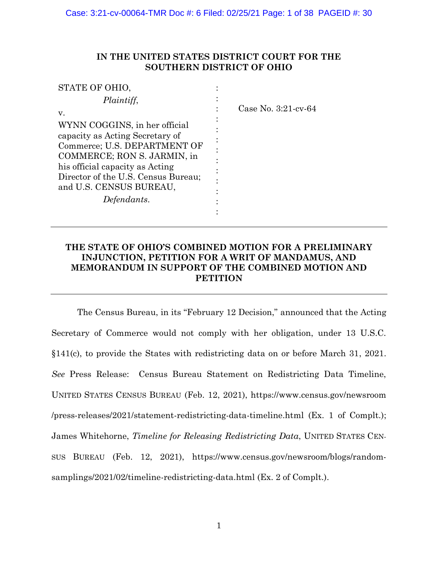## **IN THE UNITED STATES DISTRICT COURT FOR THE SOUTHERN DISTRICT OF OHIO**

| STATE OF OHIO.                      |                           |
|-------------------------------------|---------------------------|
| Plaintiff,                          |                           |
| V.                                  | Case No. $3:21$ -cv- $64$ |
| WYNN COGGINS, in her official       |                           |
| capacity as Acting Secretary of     |                           |
| Commerce; U.S. DEPARTMENT OF        |                           |
| COMMERCE; RON S. JARMIN, in         |                           |
| his official capacity as Acting     |                           |
| Director of the U.S. Census Bureau; |                           |
| and U.S. CENSUS BUREAU,             |                           |
| Defendants.                         |                           |
|                                     |                           |

## **THE STATE OF OHIO'S COMBINED MOTION FOR A PRELIMINARY INJUNCTION, PETITION FOR A WRIT OF MANDAMUS, AND MEMORANDUM IN SUPPORT OF THE COMBINED MOTION AND PETITION**

The Census Bureau, in its "February 12 Decision," announced that the Acting Secretary of Commerce would not comply with her obligation, under 13 U.S.C. §141(c), to provide the States with redistricting data on or before March 31, 2021. *See* Press Release: Census Bureau Statement on Redistricting Data Timeline, UNITED STATES CENSUS BUREAU (Feb. 12, 2021), https://www.census.gov/newsroom /press-releases/2021/statement-redistricting-data-timeline.html (Ex. 1 of Complt.); James Whitehorne, *Timeline for Releasing Redistricting Data*, UNITED STATES CEN-SUS BUREAU (Feb. 12, 2021), https://www.census.gov/newsroom/blogs/randomsamplings/2021/02/timeline-redistricting-data.html (Ex. 2 of Complt.).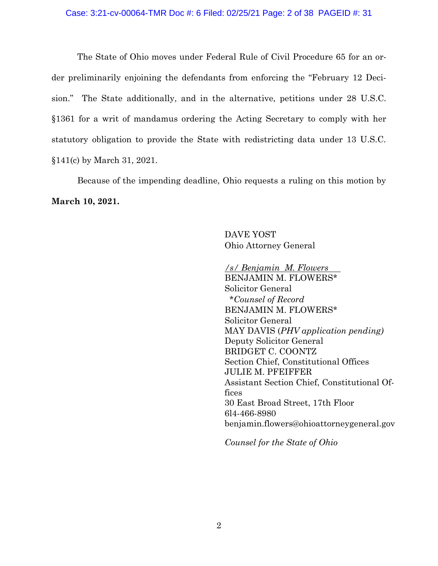The State of Ohio moves under Federal Rule of Civil Procedure 65 for an order preliminarily enjoining the defendants from enforcing the "February 12 Decision." The State additionally, and in the alternative, petitions under 28 U.S.C. §1361 for a writ of mandamus ordering the Acting Secretary to comply with her statutory obligation to provide the State with redistricting data under 13 U.S.C. §141(c) by March 31, 2021.

Because of the impending deadline, Ohio requests a ruling on this motion by **March 10, 2021.**

> DAVE YOST Ohio Attorney General

*/s/ Benjamin M. Flowers* BENJAMIN M. FLOWERS\* Solicitor General \**Counsel of Record* BENJAMIN M. FLOWERS\* Solicitor General MAY DAVIS (*PHV application pending)* Deputy Solicitor General BRIDGET C. COONTZ Section Chief, Constitutional Offices JULIE M. PFEIFFER Assistant Section Chief, Constitutional Offices 30 East Broad Street, 17th Floor 6l4-466-8980 benjamin.flowers@ohioattorneygeneral.gov

*Counsel for the State of Ohio*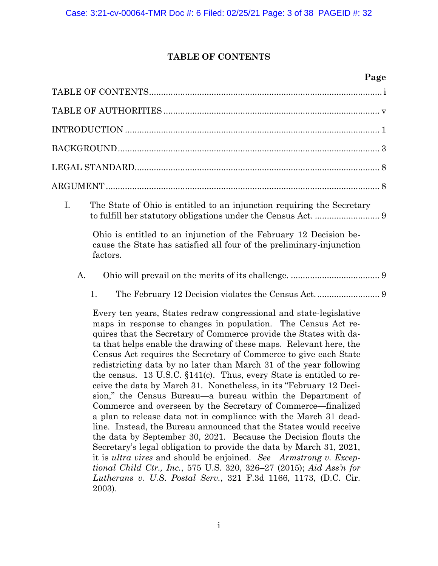# **TABLE OF CONTENTS**

# **Page**

<span id="page-2-0"></span>

| I.<br>The State of Ohio is entitled to an injunction requiring the Secretary                                                                                                                                                                                                                                                                                                                                                                                                                                                                                                                                                                                                                                                                                                                                                                                                                                                                                                                                                                                                                                                                                                                                              |
|---------------------------------------------------------------------------------------------------------------------------------------------------------------------------------------------------------------------------------------------------------------------------------------------------------------------------------------------------------------------------------------------------------------------------------------------------------------------------------------------------------------------------------------------------------------------------------------------------------------------------------------------------------------------------------------------------------------------------------------------------------------------------------------------------------------------------------------------------------------------------------------------------------------------------------------------------------------------------------------------------------------------------------------------------------------------------------------------------------------------------------------------------------------------------------------------------------------------------|
| Ohio is entitled to an injunction of the February 12 Decision be-<br>cause the State has satisfied all four of the preliminary-injunction<br>factors.                                                                                                                                                                                                                                                                                                                                                                                                                                                                                                                                                                                                                                                                                                                                                                                                                                                                                                                                                                                                                                                                     |
| A.                                                                                                                                                                                                                                                                                                                                                                                                                                                                                                                                                                                                                                                                                                                                                                                                                                                                                                                                                                                                                                                                                                                                                                                                                        |
| 1.                                                                                                                                                                                                                                                                                                                                                                                                                                                                                                                                                                                                                                                                                                                                                                                                                                                                                                                                                                                                                                                                                                                                                                                                                        |
| Every ten years, States redraw congressional and state-legislative<br>maps in response to changes in population. The Census Act re-<br>quires that the Secretary of Commerce provide the States with da-<br>ta that helps enable the drawing of these maps. Relevant here, the<br>Census Act requires the Secretary of Commerce to give each State<br>redistricting data by no later than March 31 of the year following<br>the census. 13 U.S.C. $$141(c)$ . Thus, every State is entitled to re-<br>ceive the data by March 31. Nonetheless, in its "February 12 Deci-<br>sion," the Census Bureau—a bureau within the Department of<br>Commerce and overseen by the Secretary of Commerce-finalized<br>a plan to release data not in compliance with the March 31 dead-<br>line. Instead, the Bureau announced that the States would receive<br>the data by September 30, 2021. Because the Decision flouts the<br>Secretary's legal obligation to provide the data by March 31, 2021,<br>it is <i>ultra vires</i> and should be enjoined. See Armstrong v. Excep-<br>tional Child Ctr., Inc., 575 U.S. 320, 326–27 (2015); Aid Ass'n for<br>Lutherans v. U.S. Postal Serv., 321 F.3d 1166, 1173, (D.C. Cir.<br>2003). |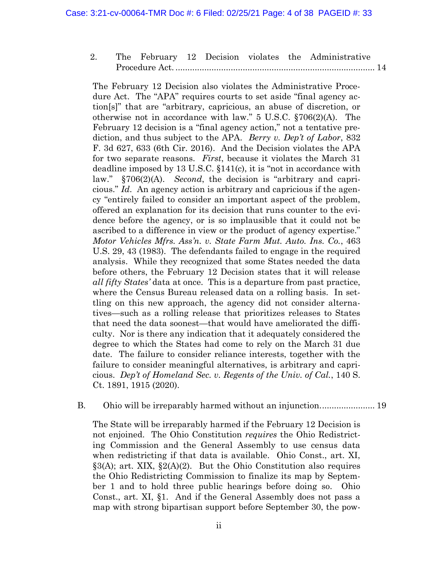2. [The February 12 Decision violates the Administrative](#page-23-0)  Procedure Act. [...................................................................................](#page-23-0) 14

The February 12 Decision also violates the Administrative Procedure Act. The "APA" requires courts to set aside "final agency action[s]" that are "arbitrary, capricious, an abuse of discretion, or otherwise not in accordance with law." 5 U.S.C. §706(2)(A). The February 12 decision is a "final agency action," not a tentative prediction, and thus subject to the APA. *Berry v. Dep't of Labor*, 832 F. 3d 627, 633 (6th Cir. 2016). And the Decision violates the APA for two separate reasons. *First*, because it violates the March 31 deadline imposed by 13 U.S.C. §141(c), it is "not in accordance with law." §706(2)(A). *Second*, the decision is "arbitrary and capricious." *Id*. An agency action is arbitrary and capricious if the agency "entirely failed to consider an important aspect of the problem, offered an explanation for its decision that runs counter to the evidence before the agency, or is so implausible that it could not be ascribed to a difference in view or the product of agency expertise." *Motor Vehicles Mfrs. Ass'n. v. State Farm Mut. Auto. Ins. Co.*, 463 U.S. 29, 43 (1983). The defendants failed to engage in the required analysis. While they recognized that some States needed the data before others, the February 12 Decision states that it will release *all fifty States'* data at once. This is a departure from past practice, where the Census Bureau released data on a rolling basis. In settling on this new approach, the agency did not consider alternatives—such as a rolling release that prioritizes releases to States that need the data soonest—that would have ameliorated the difficulty. Nor is there any indication that it adequately considered the degree to which the States had come to rely on the March 31 due date. The failure to consider reliance interests, together with the failure to consider meaningful alternatives, is arbitrary and capricious. *Dep't of Homeland Sec. v. Regents of the Univ. of Cal.*, 140 S. Ct. 1891, 1915 (2020).

#### B. [Ohio will be irreparably harmed without an injunction.......................](#page-28-0) 19

The State will be irreparably harmed if the February 12 Decision is not enjoined. The Ohio Constitution *requires* the Ohio Redistricting Commission and the General Assembly to use census data when redistricting if that data is available. Ohio Const., art. XI,  $\S3(A)$ ; art. XIX,  $\S2(A)(2)$ . But the Ohio Constitution also requires the Ohio Redistricting Commission to finalize its map by September 1 and to hold three public hearings before doing so. Ohio Const., art. XI, §1. And if the General Assembly does not pass a map with strong bipartisan support before September 30, the pow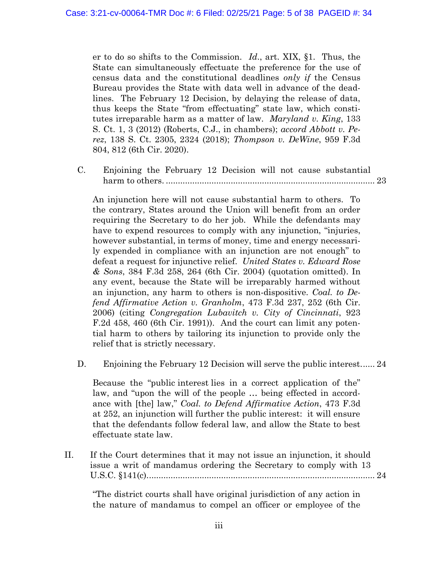er to do so shifts to the Commission. *Id*., art. XIX, §1. Thus, the State can simultaneously effectuate the preference for the use of census data and the constitutional deadlines *only if* the Census Bureau provides the State with data well in advance of the deadlines. The February 12 Decision, by delaying the release of data, thus keeps the State "from effectuating" state law, which constitutes irreparable harm as a matter of law. *Maryland v. King*, 133 S. Ct. 1, 3 (2012) (Roberts, C.J., in chambers); *accord Abbott v. Perez*, 138 S. Ct. 2305, 2324 (2018); *Thompson v. DeWine*, 959 F.3d 804, 812 (6th Cir. 2020).

C. [Enjoining the February 12 Decision will not cause substantial](#page-32-0)  harm to others. [.......................................................................................](#page-32-0) 23

An injunction here will not cause substantial harm to others. To the contrary, States around the Union will benefit from an order requiring the Secretary to do her job. While the defendants may have to expend resources to comply with any injunction, "injuries, however substantial, in terms of money, time and energy necessarily expended in compliance with an injunction are not enough" to defeat a request for injunctive relief. *United States v. Edward Rose & Sons*, 384 F.3d 258, 264 (6th Cir. 2004) (quotation omitted). In any event, because the State will be irreparably harmed without an injunction, any harm to others is non-dispositive. *Coal. to Defend Affirmative Action v. Granholm*, 473 F.3d 237, 252 (6th Cir. 2006) (citing *Congregation Lubavitch v. City of Cincinnati*, 923 F.2d 458, 460 (6th Cir. 1991)). And the court can limit any potential harm to others by tailoring its injunction to provide only the relief that is strictly necessary.

D. [Enjoining the February 12 Decision will serve the public interest......](#page-33-0) 24

Because the "public interest lies in a correct application of the" law, and "upon the will of the people … being effected in accordance with [the] law," *Coal. to Defend Affirmative Action*, 473 F.3d at 252, an injunction will further the public interest: it will ensure that the defendants follow federal law, and allow the State to best effectuate state law.

II. [If the Court determines that it may not issue an injunction, it should](#page-33-1)  issue a writ of mandamus [ordering the Secretary to comply with 13](#page-33-1)  [U.S.C. §141\(c\)...............................................................................................](#page-33-1) 24

"The district courts shall have original jurisdiction of any action in the nature of mandamus to compel an officer or employee of the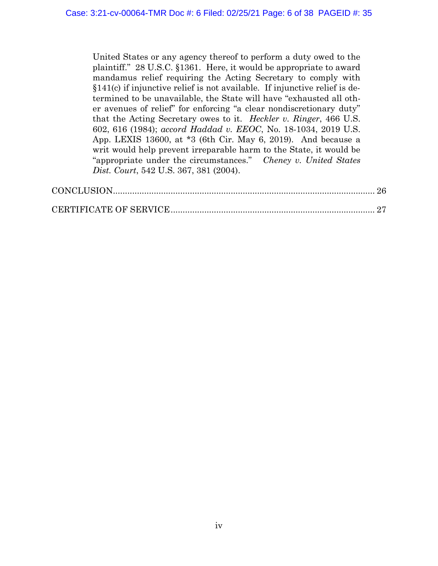United States or any agency thereof to perform a duty owed to the plaintiff." 28 U.S.C. §1361. Here, it would be appropriate to award mandamus relief requiring the Acting Secretary to comply with §141(c) if injunctive relief is not available. If injunctive relief is determined to be unavailable, the State will have "exhausted all other avenues of relief" for enforcing "a clear nondiscretionary duty" that the Acting Secretary owes to it. *Heckler v. Ringer*, 466 U.S. 602, 616 (1984); *accord Haddad v. EEOC*, No. 18-1034, 2019 U.S. App. LEXIS 13600, at \*3 (6th Cir. May 6, 2019). And because a writ would help prevent irreparable harm to the State, it would be "appropriate under the circumstances." *Cheney v. United States Dist. Court*, 542 U.S. 367, 381 (2004).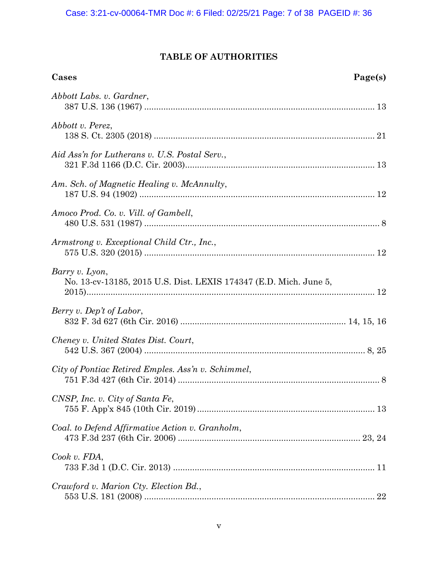# **TABLE OF AUTHORITIES**

<span id="page-6-0"></span>

| Cases                                                                               | Page(s) |
|-------------------------------------------------------------------------------------|---------|
| Abbott Labs. v. Gardner,                                                            |         |
| Abbott v. Perez,                                                                    |         |
| Aid Ass'n for Lutherans v. U.S. Postal Serv.,                                       |         |
| Am. Sch. of Magnetic Healing v. McAnnulty,                                          |         |
| Amoco Prod. Co. v. Vill. of Gambell,                                                |         |
| Armstrong v. Exceptional Child Ctr., Inc.,                                          |         |
| Barry v. Lyon,<br>No. 13-cv-13185, 2015 U.S. Dist. LEXIS 174347 (E.D. Mich. June 5, |         |
| Berry v. Dep't of Labor,                                                            |         |
| Cheney v. United States Dist. Court,                                                |         |
| City of Pontiac Retired Emples. Ass'n v. Schimmel,                                  |         |
| CNSP, Inc. v. City of Santa Fe,                                                     |         |
| Coal. to Defend Affirmative Action v. Granholm,                                     |         |
| Cook v. FDA,                                                                        |         |
| Crawford v. Marion Cty. Election Bd.,                                               |         |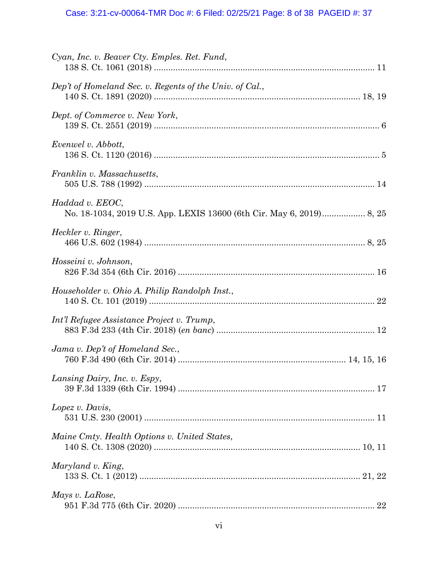| Cyan, Inc. v. Beaver Cty. Emples. Ret. Fund,            |  |
|---------------------------------------------------------|--|
| Dep't of Homeland Sec. v. Regents of the Univ. of Cal., |  |
| Dept. of Commerce v. New York,                          |  |
| Evenwel v. Abbott,                                      |  |
| Franklin v. Massachusetts,                              |  |
| Haddad v. EEOC,                                         |  |
| Heckler v. Ringer,                                      |  |
| Hosseini v. Johnson,                                    |  |
| Householder v. Ohio A. Philip Randolph Inst.,           |  |
| Int'l Refugee Assistance Project v. Trump,              |  |
| Jama v. Dep't of Homeland Sec.,                         |  |
| Lansing Dairy, Inc. v. Espy,                            |  |
| Lopez v. Davis,                                         |  |
| Maine Cmty. Health Options v. United States,            |  |
| Maryland v. King,                                       |  |
| Mays v. LaRose,                                         |  |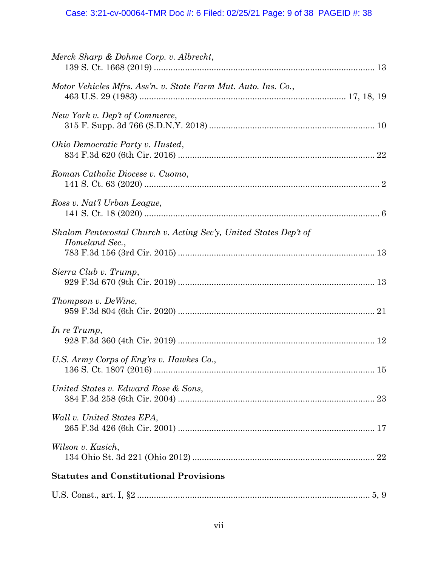# Case: 3:21-cv-00064-TMR Doc #: 6 Filed: 02/25/21 Page: 9 of 38 PAGEID #: 38

| Merck Sharp & Dohme Corp. v. Albrecht,                                              |  |
|-------------------------------------------------------------------------------------|--|
| Motor Vehicles Mfrs. Ass'n. v. State Farm Mut. Auto. Ins. Co.,                      |  |
| New York v. Dep't of Commerce,                                                      |  |
| Ohio Democratic Party v. Husted,                                                    |  |
| Roman Catholic Diocese v. Cuomo,                                                    |  |
| Ross v. Nat'l Urban League,                                                         |  |
| Shalom Pentecostal Church v. Acting Sec'y, United States Dep't of<br>Homeland Sec., |  |
| Sierra Club v. Trump,                                                               |  |
| Thompson v. DeWine,                                                                 |  |
| In re Trump,                                                                        |  |
| U.S. Army Corps of Eng'rs v. Hawkes Co.,                                            |  |
| United States v. Edward Rose & Sons,                                                |  |
| Wall v. United States EPA,                                                          |  |
| Wilson v. Kasich,                                                                   |  |
| <b>Statutes and Constitutional Provisions</b>                                       |  |
|                                                                                     |  |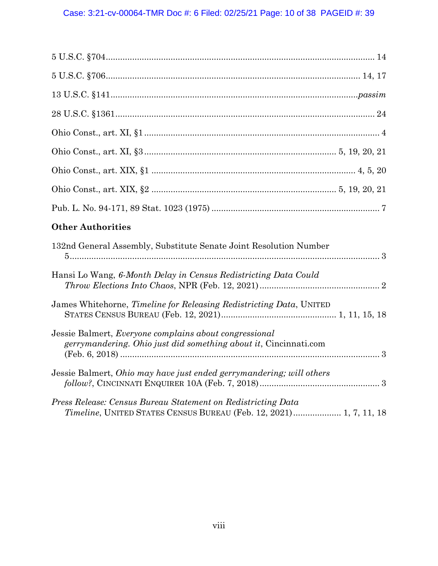| <b>Other Authorities</b>                                                                                                          |
|-----------------------------------------------------------------------------------------------------------------------------------|
| 132nd General Assembly, Substitute Senate Joint Resolution Number                                                                 |
|                                                                                                                                   |
| Hansi Lo Wang, 6-Month Delay in Census Redistricting Data Could                                                                   |
| James Whitehorne, Timeline for Releasing Redistricting Data, UNITED                                                               |
| Jessie Balmert, <i>Everyone complains about congressional</i><br>gerrymandering. Ohio just did something about it, Cincinnati.com |
| Jessie Balmert, Ohio may have just ended gerrymandering; will others                                                              |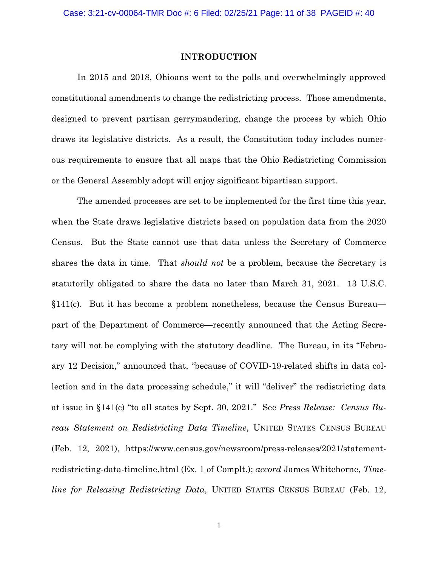#### <span id="page-10-1"></span>**INTRODUCTION**

<span id="page-10-0"></span>In 2015 and 2018, Ohioans went to the polls and overwhelmingly approved constitutional amendments to change the redistricting process. Those amendments, designed to prevent partisan gerrymandering, change the process by which Ohio draws its legislative districts. As a result, the Constitution today includes numerous requirements to ensure that all maps that the Ohio Redistricting Commission or the General Assembly adopt will enjoy significant bipartisan support.

<span id="page-10-3"></span><span id="page-10-2"></span>The amended processes are set to be implemented for the first time this year, when the State draws legislative districts based on population data from the 2020 Census. But the State cannot use that data unless the Secretary of Commerce shares the data in time. That *should not* be a problem, because the Secretary is statutorily obligated to share the data no later than March 31, 2021. 13 U.S.C. §141(c). But it has become a problem nonetheless, because the Census Bureau part of the Department of Commerce—recently announced that the Acting Secretary will not be complying with the statutory deadline. The Bureau, in its "February 12 Decision," announced that, "because of COVID-19-related shifts in data collection and in the data processing schedule," it will "deliver" the redistricting data at issue in §141(c) "to all states by Sept. 30, 2021." See *Press Release: Census Bureau Statement on Redistricting Data Timeline*, UNITED STATES CENSUS BUREAU (Feb. 12, 2021), https://www.census.gov/newsroom/press-releases/2021/statementredistricting-data-timeline.html (Ex. 1 of Complt.); *accord* James Whitehorne, *Timeline for Releasing Redistricting Data*, UNITED STATES CENSUS BUREAU (Feb. 12,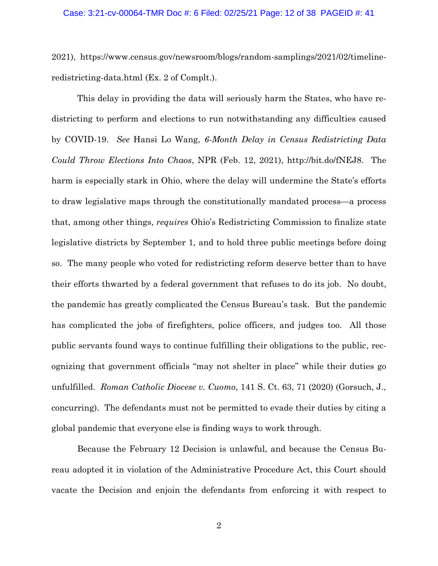#### Case: 3:21-cv-00064-TMR Doc #: 6 Filed: 02/25/21 Page: 12 of 38 PAGEID #: 41

2021), https://www.census.gov/newsroom/blogs/random-samplings/2021/02/timelineredistricting-data.html (Ex. 2 of Complt.).

<span id="page-11-1"></span>This delay in providing the data will seriously harm the States, who have redistricting to perform and elections to run notwithstanding any difficulties caused by COVID-19. *See* Hansi Lo Wang, *6-Month Delay in Census Redistricting Data Could Throw Elections Into Chaos*, NPR (Feb. 12, 2021), http://bit.do/fNEJ8. The harm is especially stark in Ohio, where the delay will undermine the State's efforts to draw legislative maps through the constitutionally mandated process—a process that, among other things, *requires* Ohio's Redistricting Commission to finalize state legislative districts by September 1, and to hold three public meetings before doing so. The many people who voted for redistricting reform deserve better than to have their efforts thwarted by a federal government that refuses to do its job. No doubt, the pandemic has greatly complicated the Census Bureau's task. But the pandemic has complicated the jobs of firefighters, police officers, and judges too. All those public servants found ways to continue fulfilling their obligations to the public, recognizing that government officials "may not shelter in place" while their duties go unfulfilled. *Roman Catholic Diocese v. Cuomo*, 141 S. Ct. 63, 71 (2020) (Gorsuch, J., concurring). The defendants must not be permitted to evade their duties by citing a global pandemic that everyone else is finding ways to work through.

<span id="page-11-0"></span>Because the February 12 Decision is unlawful, and because the Census Bureau adopted it in violation of the Administrative Procedure Act, this Court should vacate the Decision and enjoin the defendants from enforcing it with respect to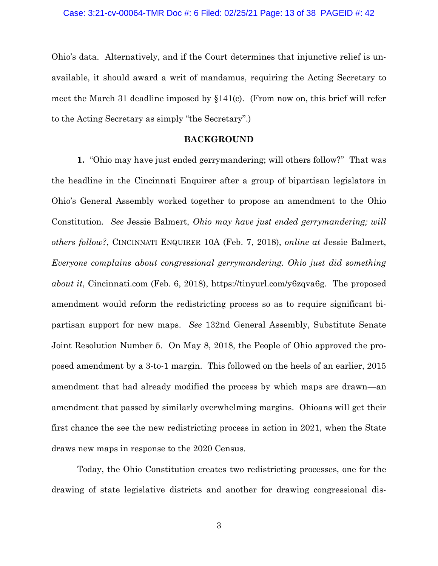Ohio's data. Alternatively, and if the Court determines that injunctive relief is unavailable, it should award a writ of mandamus, requiring the Acting Secretary to meet the March 31 deadline imposed by  $\S 141(c)$ . (From now on, this brief will refer to the Acting Secretary as simply "the Secretary".)

#### <span id="page-12-3"></span><span id="page-12-2"></span><span id="page-12-1"></span>**BACKGROUND**

<span id="page-12-0"></span>**1.** "Ohio may have just ended gerrymandering; will others follow?" That was the headline in the Cincinnati Enquirer after a group of bipartisan legislators in Ohio's General Assembly worked together to propose an amendment to the Ohio Constitution. *See* Jessie Balmert, *Ohio may have just ended gerrymandering; will others follow?*, CINCINNATI ENQUIRER 10A (Feb. 7, 2018), *online at* Jessie Balmert, *Everyone complains about congressional gerrymandering. Ohio just did something about it*, Cincinnati.com (Feb. 6, 2018), https://tinyurl.com/y6zqva6g. The proposed amendment would reform the redistricting process so as to require significant bipartisan support for new maps. *See* 132nd General Assembly, Substitute Senate Joint Resolution Number 5. On May 8, 2018, the People of Ohio approved the proposed amendment by a 3-to-1 margin. This followed on the heels of an earlier, 2015 amendment that had already modified the process by which maps are drawn—an amendment that passed by similarly overwhelming margins. Ohioans will get their first chance the see the new redistricting process in action in 2021, when the State draws new maps in response to the 2020 Census.

Today, the Ohio Constitution creates two redistricting processes, one for the drawing of state legislative districts and another for drawing congressional dis-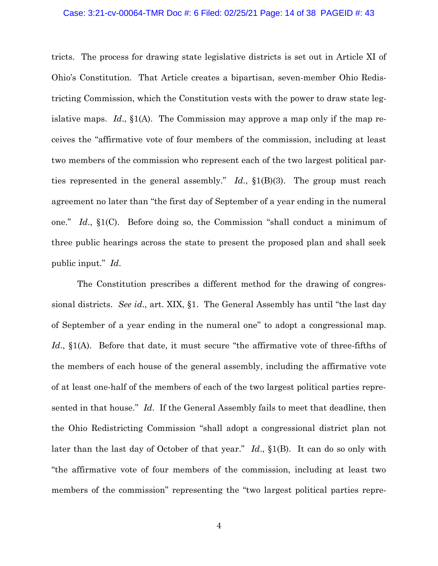#### Case: 3:21-cv-00064-TMR Doc #: 6 Filed: 02/25/21 Page: 14 of 38 PAGEID #: 43

<span id="page-13-0"></span>tricts. The process for drawing state legislative districts is set out in Article XI of Ohio's Constitution. That Article creates a bipartisan, seven-member Ohio Redistricting Commission, which the Constitution vests with the power to draw state legislative maps. *Id*., §1(A). The Commission may approve a map only if the map receives the "affirmative vote of four members of the commission, including at least two members of the commission who represent each of the two largest political parties represented in the general assembly." *Id*., §1(B)(3). The group must reach agreement no later than "the first day of September of a year ending in the numeral one." *Id*., §1(C). Before doing so, the Commission "shall conduct a minimum of three public hearings across the state to present the proposed plan and shall seek public input." *Id*.

<span id="page-13-1"></span>The Constitution prescribes a different method for the drawing of congressional districts. *See id*., art. XIX, §1. The General Assembly has until "the last day of September of a year ending in the numeral one" to adopt a congressional map. *Id.*, §1(A). Before that date, it must secure "the affirmative vote of three-fifths of the members of each house of the general assembly, including the affirmative vote of at least one-half of the members of each of the two largest political parties represented in that house." *Id*. If the General Assembly fails to meet that deadline, then the Ohio Redistricting Commission "shall adopt a congressional district plan not later than the last day of October of that year." *Id*., §1(B). It can do so only with "the affirmative vote of four members of the commission, including at least two members of the commission" representing the "two largest political parties repre-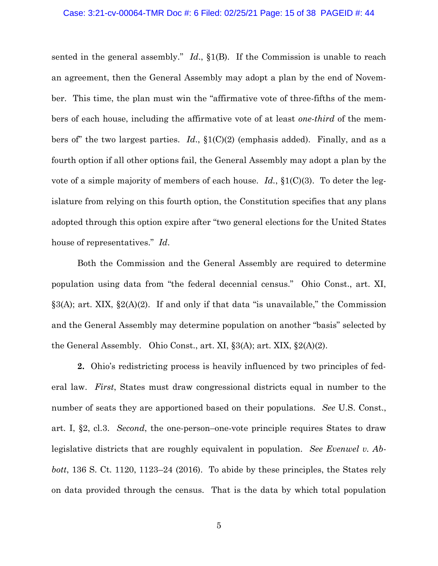#### <span id="page-14-3"></span>Case: 3:21-cv-00064-TMR Doc #: 6 Filed: 02/25/21 Page: 15 of 38 PAGEID #: 44

sented in the general assembly." *Id*., §1(B). If the Commission is unable to reach an agreement, then the General Assembly may adopt a plan by the end of November. This time, the plan must win the "affirmative vote of three-fifths of the members of each house, including the affirmative vote of at least *one-third* of the members of" the two largest parties. *Id*., §1(C)(2) (emphasis added). Finally, and as a fourth option if all other options fail, the General Assembly may adopt a plan by the vote of a simple majority of members of each house. *Id.*, §1(C)(3). To deter the legislature from relying on this fourth option, the Constitution specifies that any plans adopted through this option expire after "two general elections for the United States house of representatives." *Id*.

<span id="page-14-4"></span><span id="page-14-2"></span>Both the Commission and the General Assembly are required to determine population using data from "the federal decennial census." Ohio Const., art. XI,  $\S 3(A)$ ; art. XIX,  $\S 2(A)(2)$ . If and only if that data "is unavailable," the Commission and the General Assembly may determine population on another "basis" selected by the General Assembly. Ohio Const., art. XI, §3(A); art. XIX, §2(A)(2).

<span id="page-14-1"></span><span id="page-14-0"></span>**2.** Ohio's redistricting process is heavily influenced by two principles of federal law. *First*, States must draw congressional districts equal in number to the number of seats they are apportioned based on their populations. *See* U.S. Const., art. I, §2, cl.3. *Second*, the one-person–one-vote principle requires States to draw legislative districts that are roughly equivalent in population. *See Evenwel v. Abbott*, 136 S. Ct. 1120, 1123–24 (2016). To abide by these principles, the States rely on data provided through the census. That is the data by which total population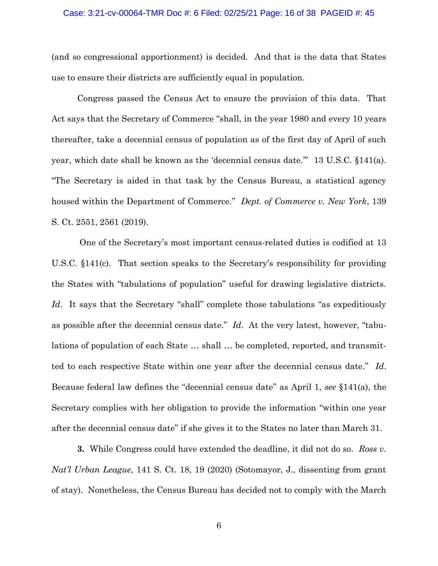#### Case: 3:21-cv-00064-TMR Doc #: 6 Filed: 02/25/21 Page: 16 of 38 PAGEID #: 45

(and so congressional apportionment) is decided. And that is the data that States use to ensure their districts are sufficiently equal in population.

Congress passed the Census Act to ensure the provision of this data. That Act says that the Secretary of Commerce "shall, in the year 1980 and every 10 years thereafter, take a decennial census of population as of the first day of April of such year, which date shall be known as the 'decennial census date.'" 13 U.S.C. §141(a). "The Secretary is aided in that task by the Census Bureau, a statistical agency housed within the Department of Commerce." *Dept. of Commerce v. New York*, 139 S. Ct. 2551, 2561 (2019).

<span id="page-15-0"></span>One of the Secretary's most important census-related duties is codified at 13 U.S.C. §141(c). That section speaks to the Secretary's responsibility for providing the States with "tabulations of population" useful for drawing legislative districts. *Id*. It says that the Secretary "shall" complete those tabulations "as expeditiously as possible after the decennial census date." *Id*. At the very latest, however, "tabulations of population of each State … shall … be completed, reported, and transmitted to each respective State within one year after the decennial census date." *Id*. Because federal law defines the "decennial census date" as April 1, *see* §141(a), the Secretary complies with her obligation to provide the information "within one year after the decennial census date" if she gives it to the States no later than March 31.

<span id="page-15-1"></span>**3.** While Congress could have extended the deadline, it did not do so. *Ross v. Nat'l Urban League*, 141 S. Ct. 18, 19 (2020) (Sotomayor, J., dissenting from grant of stay). Nonetheless, the Census Bureau has decided not to comply with the March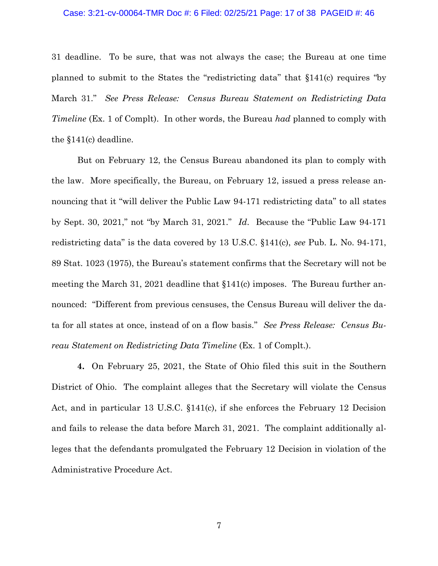#### Case: 3:21-cv-00064-TMR Doc #: 6 Filed: 02/25/21 Page: 17 of 38 PAGEID #: 46

31 deadline. To be sure, that was not always the case; the Bureau at one time planned to submit to the States the "redistricting data" that §141(c) requires "by March 31." *See Press Release: Census Bureau Statement on Redistricting Data Timeline* (Ex. 1 of Complt). In other words, the Bureau *had* planned to comply with the §141(c) deadline.

<span id="page-16-1"></span><span id="page-16-0"></span>But on February 12, the Census Bureau abandoned its plan to comply with the law. More specifically, the Bureau, on February 12, issued a press release announcing that it "will deliver the Public Law 94-171 redistricting data" to all states by Sept. 30, 2021," not "by March 31, 2021." *Id*. Because the "Public Law 94-171 redistricting data" is the data covered by 13 U.S.C. §141(c), *see* Pub. L. No. 94-171, 89 Stat. 1023 (1975), the Bureau's statement confirms that the Secretary will not be meeting the March 31, 2021 deadline that §141(c) imposes. The Bureau further announced: "Different from previous censuses, the Census Bureau will deliver the data for all states at once, instead of on a flow basis." *See Press Release: Census Bureau Statement on Redistricting Data Timeline* (Ex. 1 of Complt.).

**4.** On February 25, 2021, the State of Ohio filed this suit in the Southern District of Ohio. The complaint alleges that the Secretary will violate the Census Act, and in particular 13 U.S.C. §141(c), if she enforces the February 12 Decision and fails to release the data before March 31, 2021. The complaint additionally alleges that the defendants promulgated the February 12 Decision in violation of the Administrative Procedure Act.

7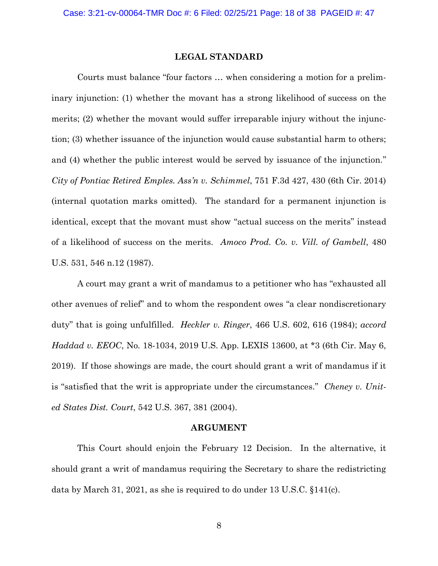#### **LEGAL STANDARD**

<span id="page-17-4"></span><span id="page-17-0"></span>Courts must balance "four factors … when considering a motion for a preliminary injunction: (1) whether the movant has a strong likelihood of success on the merits; (2) whether the movant would suffer irreparable injury without the injunction; (3) whether issuance of the injunction would cause substantial harm to others; and (4) whether the public interest would be served by issuance of the injunction." *City of Pontiac Retired Emples. Ass'n v. Schimmel*, 751 F.3d 427, 430 (6th Cir. 2014) (internal quotation marks omitted). The standard for a permanent injunction is identical, except that the movant must show "actual success on the merits" instead of a likelihood of success on the merits. *Amoco Prod. Co. v. Vill. of Gambell*, 480 U.S. 531, 546 n.12 (1987).

<span id="page-17-5"></span><span id="page-17-2"></span>A court may grant a writ of mandamus to a petitioner who has "exhausted all other avenues of relief" and to whom the respondent owes "a clear nondiscretionary duty" that is going unfulfilled. *Heckler v. Ringer*, 466 U.S. 602, 616 (1984); *accord Haddad v. EEOC*, No. 18-1034, 2019 U.S. App. LEXIS 13600, at \*3 (6th Cir. May 6, 2019). If those showings are made, the court should grant a writ of mandamus if it is "satisfied that the writ is appropriate under the circumstances." *Cheney v. United States Dist. Court*, 542 U.S. 367, 381 (2004).

#### <span id="page-17-6"></span><span id="page-17-3"></span>**ARGUMENT**

<span id="page-17-1"></span>This Court should enjoin the February 12 Decision. In the alternative, it should grant a writ of mandamus requiring the Secretary to share the redistricting data by March 31, 2021, as she is required to do under 13 U.S.C. §141(c).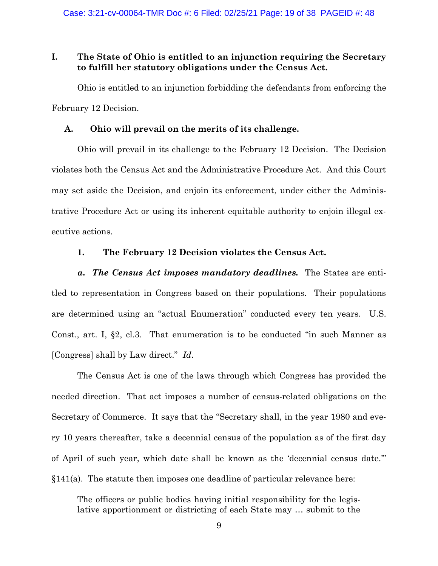## <span id="page-18-0"></span>**I. The State of Ohio is entitled to an injunction requiring the Secretary to fulfill her statutory obligations under the Census Act.**

Ohio is entitled to an injunction forbidding the defendants from enforcing the February 12 Decision.

#### <span id="page-18-1"></span>**A. Ohio will prevail on the merits of its challenge.**

Ohio will prevail in its challenge to the February 12 Decision. The Decision violates both the Census Act and the Administrative Procedure Act. And this Court may set aside the Decision, and enjoin its enforcement, under either the Administrative Procedure Act or using its inherent equitable authority to enjoin illegal executive actions.

## <span id="page-18-3"></span>**1. The February 12 Decision violates the Census Act.**

<span id="page-18-2"></span>*a. The Census Act imposes mandatory deadlines.* The States are entitled to representation in Congress based on their populations. Their populations are determined using an "actual Enumeration" conducted every ten years. U.S. Const., art. I, §2, cl.3. That enumeration is to be conducted "in such Manner as [Congress] shall by Law direct." *Id*.

The Census Act is one of the laws through which Congress has provided the needed direction. That act imposes a number of census-related obligations on the Secretary of Commerce. It says that the "Secretary shall, in the year 1980 and every 10 years thereafter, take a decennial census of the population as of the first day of April of such year, which date shall be known as the 'decennial census date.'"  $§141(a)$ . The statute then imposes one deadline of particular relevance here:

The officers or public bodies having initial responsibility for the legislative apportionment or districting of each State may … submit to the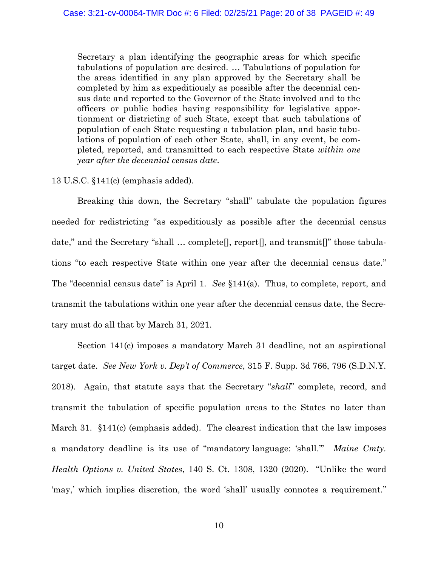Secretary a plan identifying the geographic areas for which specific tabulations of population are desired. … Tabulations of population for the areas identified in any plan approved by the Secretary shall be completed by him as expeditiously as possible after the decennial census date and reported to the Governor of the State involved and to the officers or public bodies having responsibility for legislative apportionment or districting of such State, except that such tabulations of population of each State requesting a tabulation plan, and basic tabulations of population of each other State, shall, in any event, be completed, reported, and transmitted to each respective State *within one year after the decennial census date*.

### 13 U.S.C. §141(c) (emphasis added).

Breaking this down, the Secretary "shall" tabulate the population figures needed for redistricting "as expeditiously as possible after the decennial census date," and the Secretary "shall … complete[], report[], and transmit[]" those tabulations "to each respective State within one year after the decennial census date." The "decennial census date" is April 1. *See* §141(a). Thus, to complete, report, and transmit the tabulations within one year after the decennial census date, the Secretary must do all that by March 31, 2021.

<span id="page-19-1"></span><span id="page-19-0"></span>Section 141(c) imposes a mandatory March 31 deadline, not an aspirational target date. *See New York v. Dep't of Commerce*, 315 F. Supp. 3d 766, 796 (S.D.N.Y. 2018). Again, that statute says that the Secretary "*shall*" complete, record, and transmit the tabulation of specific population areas to the States no later than March 31. §141(c) (emphasis added). The clearest indication that the law imposes a mandatory deadline is its use of "mandatory language: 'shall.'" *Maine Cmty. Health Options v. United States*, 140 S. Ct. 1308, 1320 (2020). "Unlike the word 'may,' which implies discretion, the word 'shall' usually connotes a requirement."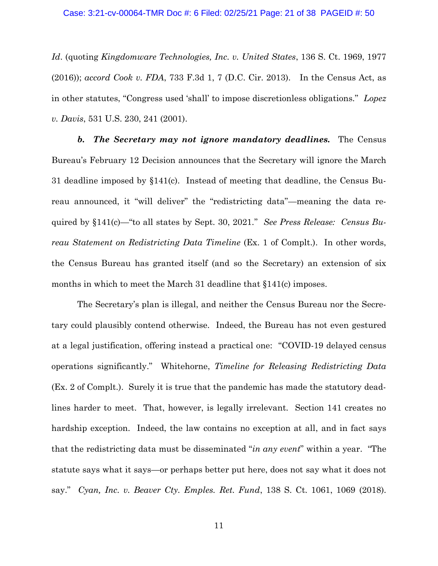#### <span id="page-20-2"></span>Case: 3:21-cv-00064-TMR Doc #: 6 Filed: 02/25/21 Page: 21 of 38 PAGEID #: 50

<span id="page-20-3"></span><span id="page-20-0"></span>*Id*. (quoting *Kingdomware Technologies, Inc. v. United States*, 136 S. Ct. 1969, 1977 (2016)); *accord Cook v. FDA*, 733 F.3d 1, 7 (D.C. Cir. 2013). In the Census Act, as in other statutes, "Congress used 'shall' to impose discretionless obligations." *Lopez v. Davis*, 531 U.S. 230, 241 (2001).

*b. The Secretary may not ignore mandatory deadlines.* The Census Bureau's February 12 Decision announces that the Secretary will ignore the March 31 deadline imposed by §141(c). Instead of meeting that deadline, the Census Bureau announced, it "will deliver" the "redistricting data"—meaning the data required by §141(c)—"to all states by Sept. 30, 2021." *See Press Release: Census Bureau Statement on Redistricting Data Timeline* (Ex. 1 of Complt.). In other words, the Census Bureau has granted itself (and so the Secretary) an extension of six months in which to meet the March 31 deadline that  $$141(c)$  imposes.

<span id="page-20-5"></span><span id="page-20-4"></span><span id="page-20-1"></span>The Secretary's plan is illegal, and neither the Census Bureau nor the Secretary could plausibly contend otherwise. Indeed, the Bureau has not even gestured at a legal justification, offering instead a practical one: "COVID-19 delayed census operations significantly." Whitehorne, *Timeline for Releasing Redistricting Data* (Ex. 2 of Complt.). Surely it is true that the pandemic has made the statutory deadlines harder to meet. That, however, is legally irrelevant. Section 141 creates no hardship exception. Indeed, the law contains no exception at all, and in fact says that the redistricting data must be disseminated "*in any event*" within a year. "The statute says what it says—or perhaps better put here, does not say what it does not say." *Cyan, Inc. v. Beaver Cty. Emples. Ret. Fund*, 138 S. Ct. 1061, 1069 (2018).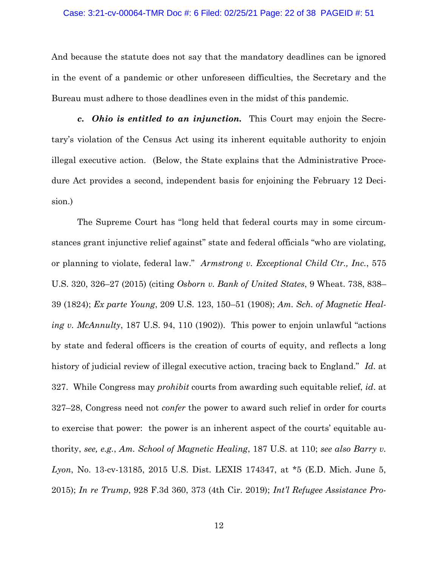#### Case: 3:21-cv-00064-TMR Doc #: 6 Filed: 02/25/21 Page: 22 of 38 PAGEID #: 51

And because the statute does not say that the mandatory deadlines can be ignored in the event of a pandemic or other unforeseen difficulties, the Secretary and the Bureau must adhere to those deadlines even in the midst of this pandemic.

*c. Ohio is entitled to an injunction.* This Court may enjoin the Secretary's violation of the Census Act using its inherent equitable authority to enjoin illegal executive action. (Below, the State explains that the Administrative Procedure Act provides a second, independent basis for enjoining the February 12 Decision.)

<span id="page-21-4"></span><span id="page-21-3"></span><span id="page-21-2"></span><span id="page-21-1"></span><span id="page-21-0"></span>The Supreme Court has "long held that federal courts may in some circumstances grant injunctive relief against" state and federal officials "who are violating, or planning to violate, federal law." *Armstrong v. Exceptional Child Ctr., Inc.*, 575 U.S. 320, 326–27 (2015) (citing *Osborn v. Bank of United States*, 9 Wheat. 738, 838– 39 (1824); *Ex parte Young*, 209 U.S. 123, 150–51 (1908); *Am. Sch. of Magnetic Healing v. McAnnulty*, 187 U.S. 94, 110 (1902)). This power to enjoin unlawful "actions by state and federal officers is the creation of courts of equity, and reflects a long history of judicial review of illegal executive action, tracing back to England." *Id*. at 327. While Congress may *prohibit* courts from awarding such equitable relief, *id*. at 327–28, Congress need not *confer* the power to award such relief in order for courts to exercise that power: the power is an inherent aspect of the courts' equitable authority, *see, e.g.*, *Am. School of Magnetic Healing*, 187 U.S. at 110; *see also Barry v. Lyon*, No. 13-cv-13185, 2015 U.S. Dist. LEXIS 174347, at \*5 (E.D. Mich. June 5, 2015); *In re Trump*, 928 F.3d 360, 373 (4th Cir. 2019); *Int'l Refugee Assistance Pro-*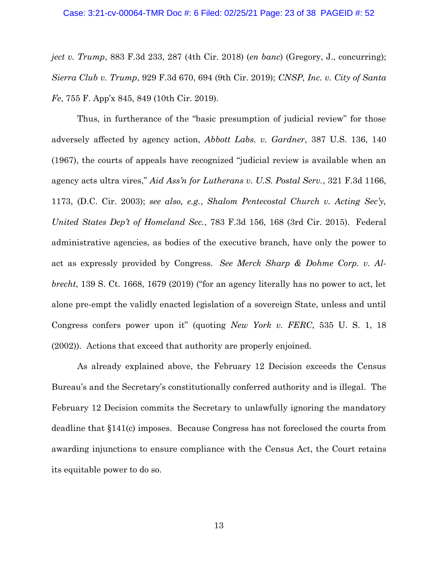#### <span id="page-22-2"></span>Case: 3:21-cv-00064-TMR Doc #: 6 Filed: 02/25/21 Page: 23 of 38 PAGEID #: 52

<span id="page-22-5"></span>*ject v. Trump*, 883 F.3d 233, 287 (4th Cir. 2018) (*en banc*) (Gregory, J., concurring); *Sierra Club v. Trump*, 929 F.3d 670, 694 (9th Cir. 2019); *CNSP, Inc. v. City of Santa Fe*, 755 F. App'x 845, 849 (10th Cir. 2019).

<span id="page-22-4"></span><span id="page-22-1"></span><span id="page-22-0"></span>Thus, in furtherance of the "basic presumption of judicial review" for those adversely affected by agency action, *Abbott Labs. v. Gardner*, 387 U.S. 136, 140 (1967), the courts of appeals have recognized "judicial review is available when an agency acts ultra vires," *Aid Ass'n for Lutherans v. U.S. Postal Serv.*, 321 F.3d 1166, 1173, (D.C. Cir. 2003); *see also, e.g.*, *Shalom Pentecostal Church v. Acting Sec'y, United States Dep't of Homeland Sec.*, 783 F.3d 156, 168 (3rd Cir. 2015). Federal administrative agencies, as bodies of the executive branch, have only the power to act as expressly provided by Congress. *See Merck Sharp & Dohme Corp. v. Albrecht*, 139 S. Ct. 1668, 1679 (2019) ("for an agency literally has no power to act, let alone pre-empt the validly enacted legislation of a sovereign State, unless and until Congress confers power upon it" (quoting *New York v. FERC*, 535 U. S. 1, 18 (2002)). Actions that exceed that authority are properly enjoined.

<span id="page-22-3"></span>As already explained above, the February 12 Decision exceeds the Census Bureau's and the Secretary's constitutionally conferred authority and is illegal. The February 12 Decision commits the Secretary to unlawfully ignoring the mandatory deadline that §141(c) imposes. Because Congress has not foreclosed the courts from awarding injunctions to ensure compliance with the Census Act, the Court retains its equitable power to do so.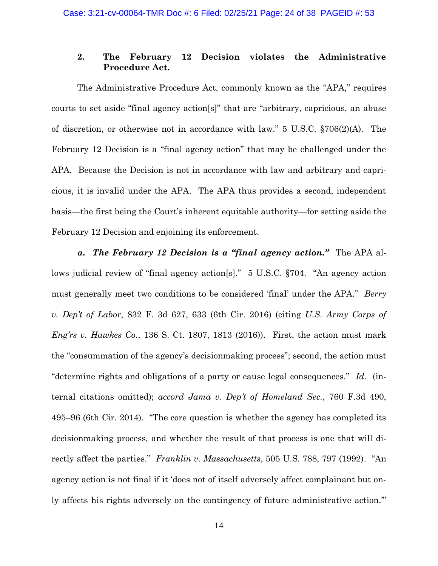## <span id="page-23-5"></span><span id="page-23-0"></span>**2. The February 12 Decision violates the Administrative Procedure Act.**

The Administrative Procedure Act, commonly known as the "APA," requires courts to set aside "final agency action[s]" that are "arbitrary, capricious, an abuse of discretion, or otherwise not in accordance with law." 5 U.S.C. §706(2)(A). The February 12 Decision is a "final agency action" that may be challenged under the APA. Because the Decision is not in accordance with law and arbitrary and capricious, it is invalid under the APA. The APA thus provides a second, independent basis—the first being the Court's inherent equitable authority—for setting aside the February 12 Decision and enjoining its enforcement.

<span id="page-23-4"></span><span id="page-23-3"></span><span id="page-23-2"></span><span id="page-23-1"></span>*a. The February 12 Decision is a "final agency action."* The APA allows judicial review of "final agency action[s]." 5 U.S.C. §704. "An agency action must generally meet two conditions to be considered 'final' under the APA." *Berry v. Dep't of Labor*, 832 F. 3d 627, 633 (6th Cir. 2016) (citing *U.S. Army Corps of Eng'rs v. Hawkes Co.*, 136 S. Ct. 1807, 1813 (2016)). First, the action must mark the "consummation of the agency's decisionmaking process"; second, the action must "determine rights and obligations of a party or cause legal consequences." *Id*. (internal citations omitted); *accord Jama v. Dep't of Homeland Sec.*, 760 F.3d 490, 495–96 (6th Cir. 2014). "The core question is whether the agency has completed its decisionmaking process, and whether the result of that process is one that will directly affect the parties." *Franklin v. Massachusetts*, 505 U.S. 788, 797 (1992). "An agency action is not final if it 'does not of itself adversely affect complainant but only affects his rights adversely on the contingency of future administrative action.'"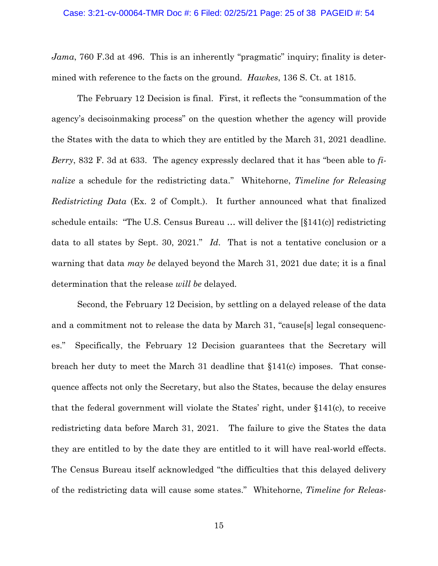#### <span id="page-24-2"></span>Case: 3:21-cv-00064-TMR Doc #: 6 Filed: 02/25/21 Page: 25 of 38 PAGEID #: 54

<span id="page-24-1"></span>*Jama*, 760 F.3d at 496. This is an inherently "pragmatic" inquiry; finality is determined with reference to the facts on the ground. *Hawkes*, 136 S. Ct. at 1815.

<span id="page-24-3"></span><span id="page-24-0"></span>The February 12 Decision is final. First, it reflects the "consummation of the agency's decisoinmaking process" on the question whether the agency will provide the States with the data to which they are entitled by the March 31, 2021 deadline. *Berry*, 832 F. 3d at 633. The agency expressly declared that it has "been able to *finalize* a schedule for the redistricting data." Whitehorne, *Timeline for Releasing Redistricting Data* (Ex. 2 of Complt.). It further announced what that finalized schedule entails: "The U.S. Census Bureau … will deliver the [§141(c)] redistricting data to all states by Sept. 30, 2021." *Id*. That is not a tentative conclusion or a warning that data *may be* delayed beyond the March 31, 2021 due date; it is a final determination that the release *will be* delayed.

Second, the February 12 Decision, by settling on a delayed release of the data and a commitment not to release the data by March 31, "cause[s] legal consequences." Specifically, the February 12 Decision guarantees that the Secretary will breach her duty to meet the March 31 deadline that §141(c) imposes. That consequence affects not only the Secretary, but also the States, because the delay ensures that the federal government will violate the States' right, under §141(c), to receive redistricting data before March 31, 2021. The failure to give the States the data they are entitled to by the date they are entitled to it will have real-world effects. The Census Bureau itself acknowledged "the difficulties that this delayed delivery of the redistricting data will cause some states." Whitehorne, *Timeline for Releas-*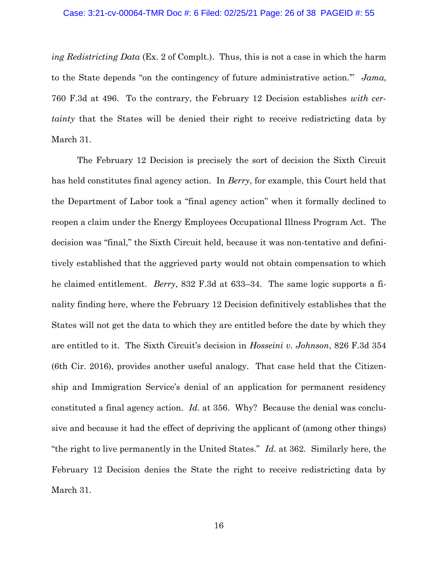#### <span id="page-25-2"></span>Case: 3:21-cv-00064-TMR Doc #: 6 Filed: 02/25/21 Page: 26 of 38 PAGEID #: 55

*ing Redistricting Data* (Ex. 2 of Complt.). Thus, this is not a case in which the harm to the State depends "on the contingency of future administrative action.'" *Jama*, 760 F.3d at 496. To the contrary, the February 12 Decision establishes *with certainty* that the States will be denied their right to receive redistricting data by March 31.

<span id="page-25-1"></span><span id="page-25-0"></span>The February 12 Decision is precisely the sort of decision the Sixth Circuit has held constitutes final agency action. In *Berry*, for example, this Court held that the Department of Labor took a "final agency action" when it formally declined to reopen a claim under the Energy Employees Occupational Illness Program Act. The decision was "final," the Sixth Circuit held, because it was non-tentative and definitively established that the aggrieved party would not obtain compensation to which he claimed entitlement. *Berry*, 832 F.3d at 633–34. The same logic supports a finality finding here, where the February 12 Decision definitively establishes that the States will not get the data to which they are entitled before the date by which they are entitled to it. The Sixth Circuit's decision in *Hosseini v. Johnson*, 826 F.3d 354 (6th Cir. 2016), provides another useful analogy. That case held that the Citizenship and Immigration Service's denial of an application for permanent residency constituted a final agency action. *Id*. at 356. Why? Because the denial was conclusive and because it had the effect of depriving the applicant of (among other things) "the right to live permanently in the United States." *Id*. at 362. Similarly here, the February 12 Decision denies the State the right to receive redistricting data by March 31.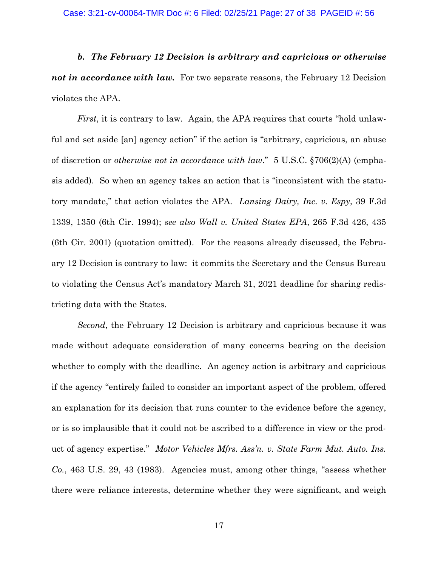*b. The February 12 Decision is arbitrary and capricious or otherwise not in accordance with law.* For two separate reasons, the February 12 Decision violates the APA.

<span id="page-26-3"></span><span id="page-26-2"></span><span id="page-26-0"></span>*First*, it is contrary to law. Again, the APA requires that courts "hold unlawful and set aside [an] agency action" if the action is "arbitrary, capricious, an abuse of discretion or *otherwise not in accordance with law*." 5 U.S.C. §706(2)(A) (emphasis added). So when an agency takes an action that is "inconsistent with the statutory mandate," that action violates the APA. *Lansing Dairy, Inc. v. Espy*, 39 F.3d 1339, 1350 (6th Cir. 1994); *see also Wall v. United States EPA*, 265 F.3d 426, 435 (6th Cir. 2001) (quotation omitted). For the reasons already discussed, the February 12 Decision is contrary to law: it commits the Secretary and the Census Bureau to violating the Census Act's mandatory March 31, 2021 deadline for sharing redistricting data with the States.

<span id="page-26-1"></span>*Second*, the February 12 Decision is arbitrary and capricious because it was made without adequate consideration of many concerns bearing on the decision whether to comply with the deadline. An agency action is arbitrary and capricious if the agency "entirely failed to consider an important aspect of the problem, offered an explanation for its decision that runs counter to the evidence before the agency, or is so implausible that it could not be ascribed to a difference in view or the product of agency expertise." *Motor Vehicles Mfrs. Ass'n. v. State Farm Mut. Auto. Ins. Co.*, 463 U.S. 29, 43 (1983). Agencies must, among other things, "assess whether there were reliance interests, determine whether they were significant, and weigh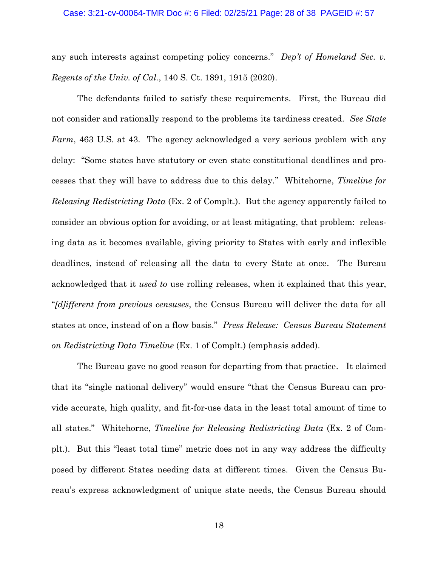#### <span id="page-27-0"></span>Case: 3:21-cv-00064-TMR Doc #: 6 Filed: 02/25/21 Page: 28 of 38 PAGEID #: 57

any such interests against competing policy concerns." *Dep't of Homeland Sec. v. Regents of the Univ. of Cal.*, 140 S. Ct. 1891, 1915 (2020).

<span id="page-27-2"></span><span id="page-27-1"></span>The defendants failed to satisfy these requirements. First, the Bureau did not consider and rationally respond to the problems its tardiness created. *See State Farm*, 463 U.S. at 43. The agency acknowledged a very serious problem with any delay: "Some states have statutory or even state constitutional deadlines and processes that they will have to address due to this delay." Whitehorne, *Timeline for Releasing Redistricting Data* (Ex. 2 of Complt.). But the agency apparently failed to consider an obvious option for avoiding, or at least mitigating, that problem: releasing data as it becomes available, giving priority to States with early and inflexible deadlines, instead of releasing all the data to every State at once. The Bureau acknowledged that it *used to* use rolling releases, when it explained that this year, "*[d]ifferent from previous censuses*, the Census Bureau will deliver the data for all states at once, instead of on a flow basis." *Press Release: Census Bureau Statement on Redistricting Data Timeline* (Ex. 1 of Complt.) (emphasis added).

<span id="page-27-3"></span>The Bureau gave no good reason for departing from that practice. It claimed that its "single national delivery" would ensure "that the Census Bureau can provide accurate, high quality, and fit-for-use data in the least total amount of time to all states." Whitehorne, *Timeline for Releasing Redistricting Data* (Ex. 2 of Complt.). But this "least total time" metric does not in any way address the difficulty posed by different States needing data at different times. Given the Census Bureau's express acknowledgment of unique state needs, the Census Bureau should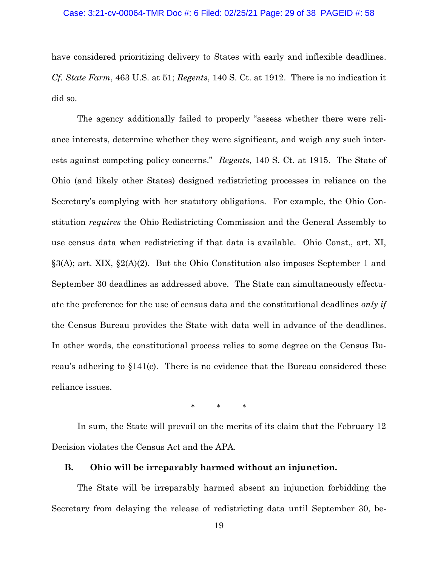#### Case: 3:21-cv-00064-TMR Doc #: 6 Filed: 02/25/21 Page: 29 of 38 PAGEID #: 58

<span id="page-28-2"></span><span id="page-28-1"></span>have considered prioritizing delivery to States with early and inflexible deadlines. *Cf. State Farm*, 463 U.S. at 51; *Regents*, 140 S. Ct. at 1912. There is no indication it did so.

<span id="page-28-4"></span>The agency additionally failed to properly "assess whether there were reliance interests, determine whether they were significant, and weigh any such interests against competing policy concerns." *Regents*, 140 S. Ct. at 1915. The State of Ohio (and likely other States) designed redistricting processes in reliance on the Secretary's complying with her statutory obligations. For example, the Ohio Constitution *requires* the Ohio Redistricting Commission and the General Assembly to use census data when redistricting if that data is available. Ohio Const., art. XI, §3(A); art. XIX, §2(A)(2). But the Ohio Constitution also imposes September 1 and September 30 deadlines as addressed above. The State can simultaneously effectuate the preference for the use of census data and the constitutional deadlines *only if*  the Census Bureau provides the State with data well in advance of the deadlines. In other words, the constitutional process relies to some degree on the Census Bureau's adhering to §141(c). There is no evidence that the Bureau considered these reliance issues.

<span id="page-28-3"></span>\* \* \*

In sum, the State will prevail on the merits of its claim that the February 12 Decision violates the Census Act and the APA.

## <span id="page-28-0"></span>**B. Ohio will be irreparably harmed without an injunction.**

The State will be irreparably harmed absent an injunction forbidding the Secretary from delaying the release of redistricting data until September 30, be-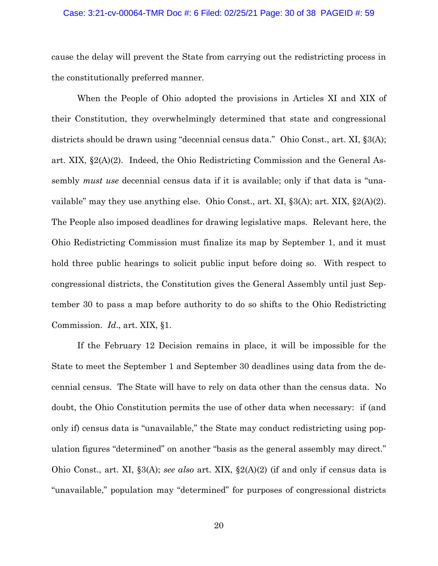#### Case: 3:21-cv-00064-TMR Doc #: 6 Filed: 02/25/21 Page: 30 of 38 PAGEID #: 59

cause the delay will prevent the State from carrying out the redistricting process in the constitutionally preferred manner.

<span id="page-29-2"></span><span id="page-29-0"></span>When the People of Ohio adopted the provisions in Articles XI and XIX of their Constitution, they overwhelmingly determined that state and congressional districts should be drawn using "decennial census data." Ohio Const., art. XI, §3(A); art. XIX, §2(A)(2). Indeed, the Ohio Redistricting Commission and the General Assembly *must use* decennial census data if it is available; only if that data is "unavailable" may they use anything else. Ohio Const., art. XI,  $\S 3(A)$ ; art. XIX,  $\S 2(A)(2)$ . The People also imposed deadlines for drawing legislative maps. Relevant here, the Ohio Redistricting Commission must finalize its map by September 1, and it must hold three public hearings to solicit public input before doing so. With respect to congressional districts, the Constitution gives the General Assembly until just September 30 to pass a map before authority to do so shifts to the Ohio Redistricting Commission. *Id*., art. XIX, §1.

<span id="page-29-1"></span>If the February 12 Decision remains in place, it will be impossible for the State to meet the September 1 and September 30 deadlines using data from the decennial census. The State will have to rely on data other than the census data. No doubt, the Ohio Constitution permits the use of other data when necessary: if (and only if) census data is "unavailable," the State may conduct redistricting using population figures "determined" on another "basis as the general assembly may direct." Ohio Const., art. XI, §3(A); *see also* art. XIX, §2(A)(2) (if and only if census data is "unavailable," population may "determined" for purposes of congressional districts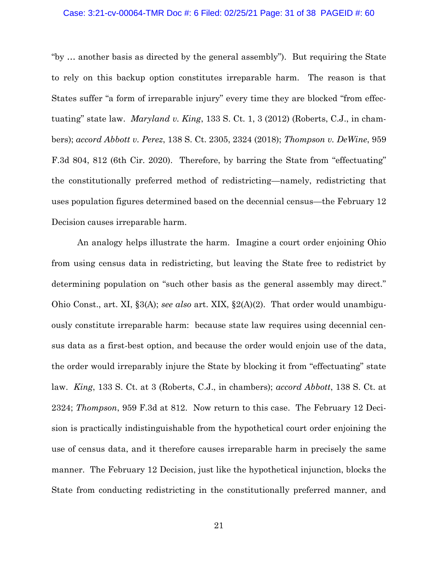#### Case: 3:21-cv-00064-TMR Doc #: 6 Filed: 02/25/21 Page: 31 of 38 PAGEID #: 60

<span id="page-30-2"></span><span id="page-30-1"></span><span id="page-30-0"></span>"by … another basis as directed by the general assembly"). But requiring the State to rely on this backup option constitutes irreparable harm. The reason is that States suffer "a form of irreparable injury" every time they are blocked "from effectuating" state law. *Maryland v. King*, 133 S. Ct. 1, 3 (2012) (Roberts, C.J., in chambers); *accord Abbott v. Perez*, 138 S. Ct. 2305, 2324 (2018); *Thompson v. DeWine*, 959 F.3d 804, 812 (6th Cir. 2020). Therefore, by barring the State from "effectuating" the constitutionally preferred method of redistricting—namely, redistricting that uses population figures determined based on the decennial census—the February 12 Decision causes irreparable harm.

<span id="page-30-4"></span><span id="page-30-3"></span>An analogy helps illustrate the harm. Imagine a court order enjoining Ohio from using census data in redistricting, but leaving the State free to redistrict by determining population on "such other basis as the general assembly may direct." Ohio Const., art. XI, §3(A); *see also* art. XIX, §2(A)(2). That order would unambiguously constitute irreparable harm: because state law requires using decennial census data as a first-best option, and because the order would enjoin use of the data, the order would irreparably injure the State by blocking it from "effectuating" state law. *King*, 133 S. Ct. at 3 (Roberts, C.J., in chambers); *accord Abbott*, 138 S. Ct. at 2324; *Thompson*, 959 F.3d at 812. Now return to this case. The February 12 Decision is practically indistinguishable from the hypothetical court order enjoining the use of census data, and it therefore causes irreparable harm in precisely the same manner. The February 12 Decision, just like the hypothetical injunction, blocks the State from conducting redistricting in the constitutionally preferred manner, and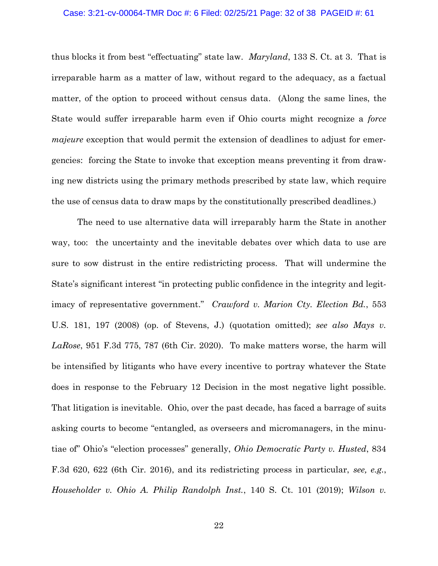#### <span id="page-31-2"></span>Case: 3:21-cv-00064-TMR Doc #: 6 Filed: 02/25/21 Page: 32 of 38 PAGEID #: 61

thus blocks it from best "effectuating" state law. *Maryland*, 133 S. Ct. at 3. That is irreparable harm as a matter of law, without regard to the adequacy, as a factual matter, of the option to proceed without census data. (Along the same lines, the State would suffer irreparable harm even if Ohio courts might recognize a *force majeure* exception that would permit the extension of deadlines to adjust for emergencies: forcing the State to invoke that exception means preventing it from drawing new districts using the primary methods prescribed by state law, which require the use of census data to draw maps by the constitutionally prescribed deadlines.)

<span id="page-31-5"></span><span id="page-31-4"></span><span id="page-31-3"></span><span id="page-31-1"></span><span id="page-31-0"></span>The need to use alternative data will irreparably harm the State in another way, too: the uncertainty and the inevitable debates over which data to use are sure to sow distrust in the entire redistricting process. That will undermine the State's significant interest "in protecting public confidence in the integrity and legitimacy of representative government." *Crawford v. Marion Cty. Election Bd.*, 553 U.S. 181, 197 (2008) (op. of Stevens, J.) (quotation omitted); *see also Mays v. LaRose*, 951 F.3d 775, 787 (6th Cir. 2020). To make matters worse, the harm will be intensified by litigants who have every incentive to portray whatever the State does in response to the February 12 Decision in the most negative light possible. That litigation is inevitable. Ohio, over the past decade, has faced a barrage of suits asking courts to become "entangled, as overseers and micromanagers, in the minutiae of" Ohio's "election processes" generally, *Ohio Democratic Party v. Husted*, 834 F.3d 620, 622 (6th Cir. 2016), and its redistricting process in particular, *see, e.g.*, *Householder v. Ohio A. Philip Randolph Inst.*, 140 S. Ct. 101 (2019); *Wilson v.*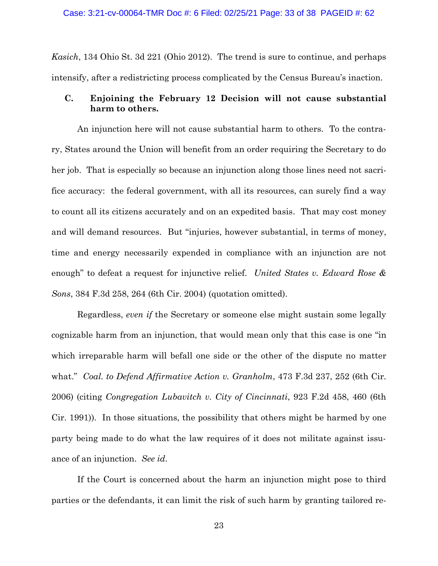*Kasich*, 134 Ohio St. 3d 221 (Ohio 2012). The trend is sure to continue, and perhaps intensify, after a redistricting process complicated by the Census Bureau's inaction.

## <span id="page-32-0"></span>**C. Enjoining the February 12 Decision will not cause substantial harm to others.**

An injunction here will not cause substantial harm to others. To the contrary, States around the Union will benefit from an order requiring the Secretary to do her job. That is especially so because an injunction along those lines need not sacrifice accuracy: the federal government, with all its resources, can surely find a way to count all its citizens accurately and on an expedited basis. That may cost money and will demand resources. But "injuries, however substantial, in terms of money, time and energy necessarily expended in compliance with an injunction are not enough" to defeat a request for injunctive relief. *United States v. Edward Rose & Sons*, 384 F.3d 258, 264 (6th Cir. 2004) (quotation omitted).

<span id="page-32-2"></span><span id="page-32-1"></span>Regardless, *even if* the Secretary or someone else might sustain some legally cognizable harm from an injunction, that would mean only that this case is one "in which irreparable harm will befall one side or the other of the dispute no matter what." *Coal. to Defend Affirmative Action v. Granholm*, 473 F.3d 237, 252 (6th Cir. 2006) (citing *Congregation Lubavitch v. City of Cincinnati*, 923 F.2d 458, 460 (6th Cir. 1991)). In those situations, the possibility that others might be harmed by one party being made to do what the law requires of it does not militate against issuance of an injunction. *See id*.

If the Court is concerned about the harm an injunction might pose to third parties or the defendants, it can limit the risk of such harm by granting tailored re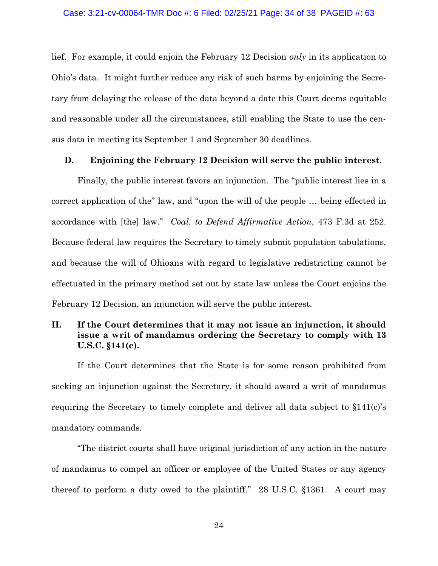lief. For example, it could enjoin the February 12 Decision *only* in its application to Ohio's data. It might further reduce any risk of such harms by enjoining the Secretary from delaying the release of the data beyond a date this Court deems equitable and reasonable under all the circumstances, still enabling the State to use the census data in meeting its September 1 and September 30 deadlines.

#### <span id="page-33-2"></span><span id="page-33-0"></span>**D. Enjoining the February 12 Decision will serve the public interest.**

Finally, the public interest favors an injunction. The "public interest lies in a correct application of the" law, and "upon the will of the people … being effected in accordance with [the] law." *Coal. to Defend Affirmative Action*, 473 F.3d at 252. Because federal law requires the Secretary to timely submit population tabulations, and because the will of Ohioans with regard to legislative redistricting cannot be effectuated in the primary method set out by state law unless the Court enjoins the February 12 Decision, an injunction will serve the public interest.

## <span id="page-33-1"></span>**II. If the Court determines that it may not issue an injunction, it should issue a writ of mandamus ordering the Secretary to comply with 13 U.S.C. §141(c).**

If the Court determines that the State is for some reason prohibited from seeking an injunction against the Secretary, it should award a writ of mandamus requiring the Secretary to timely complete and deliver all data subject to §141(c)'s mandatory commands.

"The district courts shall have original jurisdiction of any action in the nature of mandamus to compel an officer or employee of the United States or any agency thereof to perform a duty owed to the plaintiff." 28 U.S.C. §1361. A court may

<span id="page-33-3"></span>24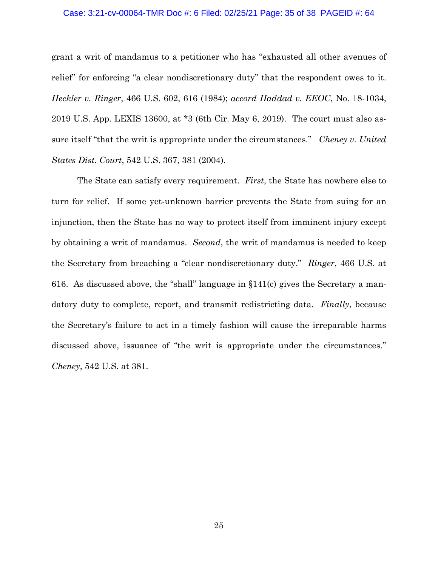#### Case: 3:21-cv-00064-TMR Doc #: 6 Filed: 02/25/21 Page: 35 of 38 PAGEID #: 64

<span id="page-34-2"></span><span id="page-34-1"></span>grant a writ of mandamus to a petitioner who has "exhausted all other avenues of relief" for enforcing "a clear nondiscretionary duty" that the respondent owes to it. *Heckler v. Ringer*, 466 U.S. 602, 616 (1984); *accord Haddad v. EEOC*, No. 18-1034, 2019 U.S. App. LEXIS 13600, at \*3 (6th Cir. May 6, 2019). The court must also assure itself "that the writ is appropriate under the circumstances." *Cheney v. United States Dist. Court*, 542 U.S. 367, 381 (2004).

<span id="page-34-0"></span>The State can satisfy every requirement. *First*, the State has nowhere else to turn for relief. If some yet-unknown barrier prevents the State from suing for an injunction, then the State has no way to protect itself from imminent injury except by obtaining a writ of mandamus. *Second*, the writ of mandamus is needed to keep the Secretary from breaching a "clear nondiscretionary duty." *Ringer*, 466 U.S. at 616. As discussed above, the "shall" language in §141(c) gives the Secretary a mandatory duty to complete, report, and transmit redistricting data. *Finally*, because the Secretary's failure to act in a timely fashion will cause the irreparable harms discussed above, issuance of "the writ is appropriate under the circumstances." *Cheney*, 542 U.S. at 381.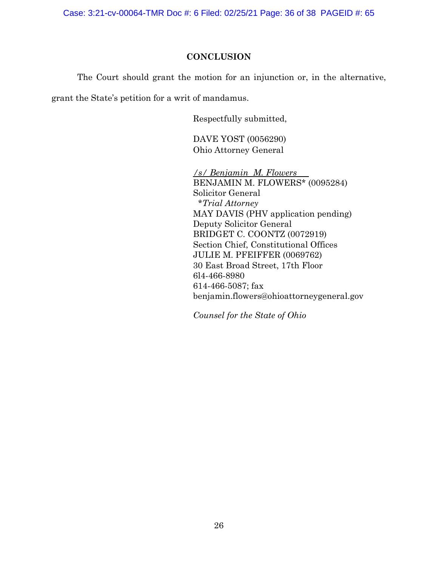Case: 3:21-cv-00064-TMR Doc #: 6 Filed: 02/25/21 Page: 36 of 38 PAGEID #: 65

## **CONCLUSION**

<span id="page-35-0"></span>The Court should grant the motion for an injunction or, in the alternative,

grant the State's petition for a writ of mandamus.

Respectfully submitted,

DAVE YOST (0056290) Ohio Attorney General

*/s/ Benjamin M. Flowers* BENJAMIN M. FLOWERS\* (0095284) Solicitor General *\*Trial Attorney* MAY DAVIS (PHV application pending) Deputy Solicitor General BRIDGET C. COONTZ (0072919) Section Chief, Constitutional Offices JULIE M. PFEIFFER (0069762) 30 East Broad Street, 17th Floor 6l4-466-8980 614-466-5087; fax benjamin.flowers@ohioattorneygeneral.gov

*Counsel for the State of Ohio*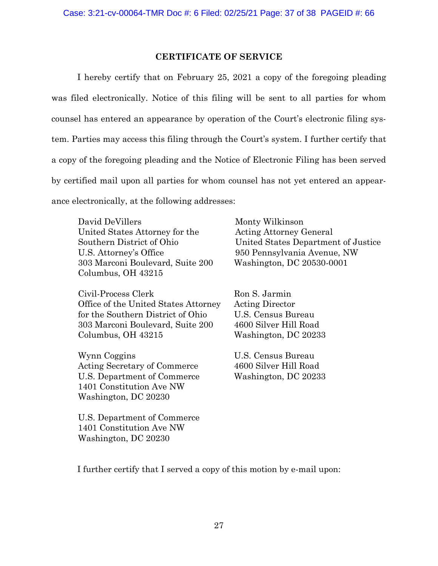## **CERTIFICATE OF SERVICE**

<span id="page-36-0"></span>I hereby certify that on February 25, 2021 a copy of the foregoing pleading was filed electronically. Notice of this filing will be sent to all parties for whom counsel has entered an appearance by operation of the Court's electronic filing system. Parties may access this filing through the Court's system. I further certify that a copy of the foregoing pleading and the Notice of Electronic Filing has been served by certified mail upon all parties for whom counsel has not yet entered an appearance electronically, at the following addresses:

David DeVillers United States Attorney for the Southern District of Ohio U.S. Attorney's Office 303 Marconi Boulevard, Suite 200 Columbus, OH 43215

Civil-Process Clerk Office of the United States Attorney for the Southern District of Ohio 303 Marconi Boulevard, Suite 200 Columbus, OH 43215

Wynn Coggins Acting Secretary of Commerce U.S. Department of Commerce 1401 Constitution Ave NW Washington, DC 20230

U.S. Department of Commerce 1401 Constitution Ave NW Washington, DC 20230

Monty Wilkinson Acting Attorney General United States Department of Justice 950 Pennsylvania Avenue, NW Washington, DC 20530-0001

Ron S. Jarmin Acting Director U.S. Census Bureau 4600 Silver Hill Road Washington, DC 20233

U.S. Census Bureau 4600 Silver Hill Road Washington, DC 20233

I further certify that I served a copy of this motion by e-mail upon: